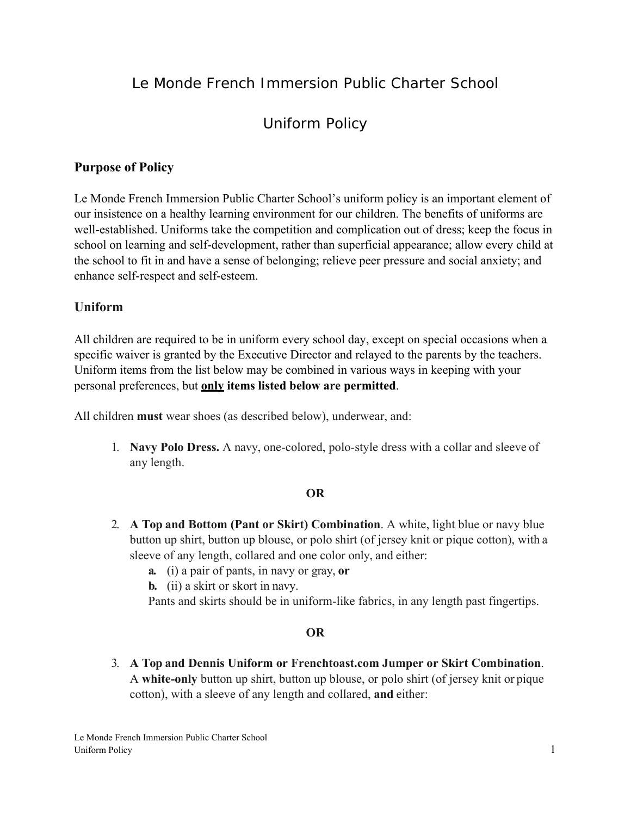## Le Monde French Immersion Public Charter School

# Uniform Policy

## **Purpose of Policy**

Le Monde French Immersion Public Charter School's uniform policy is an important element of our insistence on a healthy learning environment for our children. The benefits of uniforms are well-established. Uniforms take the competition and complication out of dress; keep the focus in school on learning and self-development, rather than superficial appearance; allow every child at the school to fit in and have a sense of belonging; relieve peer pressure and social anxiety; and enhance self-respect and self-esteem.

## **Uniform**

All children are required to be in uniform every school day, except on special occasions when a specific waiver is granted by the Executive Director and relayed to the parents by the teachers. Uniform items from the list below may be combined in various ways in keeping with your personal preferences, but **only items listed below are permitted**.

All children **must** wear shoes (as described below), underwear, and:

1. **Navy Polo Dress.** A navy, one-colored, polo-style dress with a collar and sleeve of any length.

#### **OR**

- 2. **A Top and Bottom (Pant or Skirt) Combination**. A white, light blue or navy blue button up shirt, button up blouse, or polo shirt (of jersey knit or pique cotton), with a sleeve of any length, collared and one color only, and either:
	- **a.** (i) a pair of pants, in navy or gray, **or**
	- **b.** (ii) a skirt or skort in navy.
	- Pants and skirts should be in uniform-like fabrics, in any length past fingertips.

## **OR**

3. **A Top and Dennis Uniform or Frenchtoast.com Jumper or Skirt Combination**. A **white-only** button up shirt, button up blouse, or polo shirt (of jersey knit or pique cotton), with a sleeve of any length and collared, **and** either: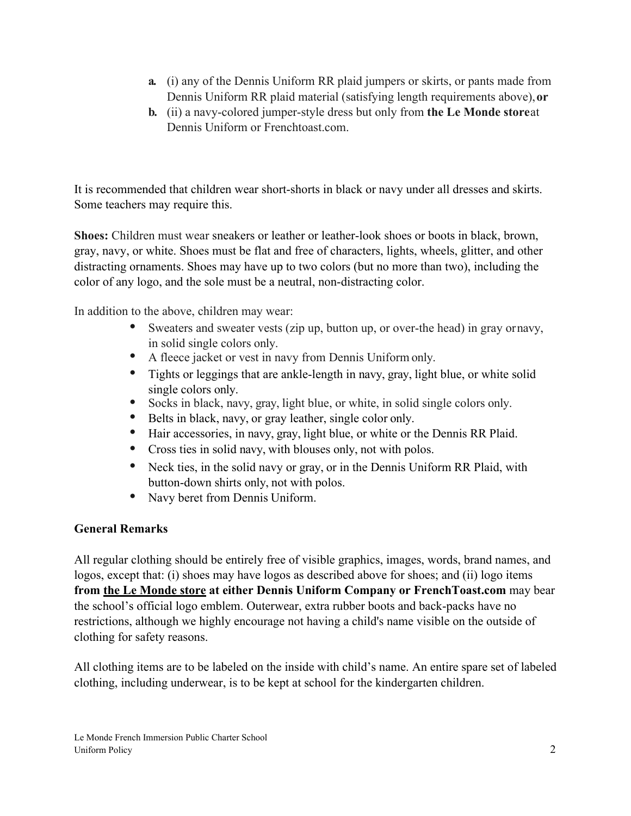- **a.** (i) any of the Dennis Uniform RR plaid jumpers or skirts, or pants made from Dennis Uniform RR plaid material (satisfying length requirements above), **or**
- **b.** (ii) a navy-colored jumper-style dress but only from the Le Monde store at Dennis Uniform or Frenchtoast.com.

It is recommended that children wear short-shorts in black or navy under all dresses and skirts. Some teachers may require this.

**Shoes:** Children must wear sneakers or leather or leather-look shoes or boots in black, brown, gray, navy, or white. Shoes must be flat and free of characters, lights, wheels, glitter, and other distracting ornaments. Shoes may have up to two colors (but no more than two), including the color of any logo, and the sole must be a neutral, non-distracting color.

In addition to the above, children may wear:

- Sweaters and sweater vests (zip up, button up, or over-the head) in gray or navy,
- in solid single colors only.<br>
A fleece jacket or vest in navy from Dennis Uniform only.
- Tights or leggings that are ankle-length in navy, gray, light blue, or white solid
- single colors only.<br>
Socks in black, navy, gray, light blue, or white, in solid single colors only.
- Belts in black, navy, or gray leather, single color only.
- Hair accessories, in navy, gray, light blue, or white or the Dennis RR Plaid.
- Cross ties in solid navy, with blouses only, not with polos.
- Neck ties, in the solid navy or gray, or in the Dennis Uniform RR Plaid, with button-down shirts only, not with polos.
- Navy beret from Dennis Uniform.

## **General Remarks**

All regular clothing should be entirely free of visible graphics, images, words, brand names, and logos, except that: (i) shoes may have logos as described above for shoes; and (ii) logo items **from the Le Monde store at either Dennis Uniform Company or FrenchToast.com** may bear the school's official logo emblem. Outerwear, extra rubber boots and back-packs have no restrictions, although we highly encourage not having a child's name visible on the outside of clothing for safety reasons.

All clothing items are to be labeled on the inside with child's name. An entire spare set of labeled clothing, including underwear, is to be kept at school for the kindergarten children.